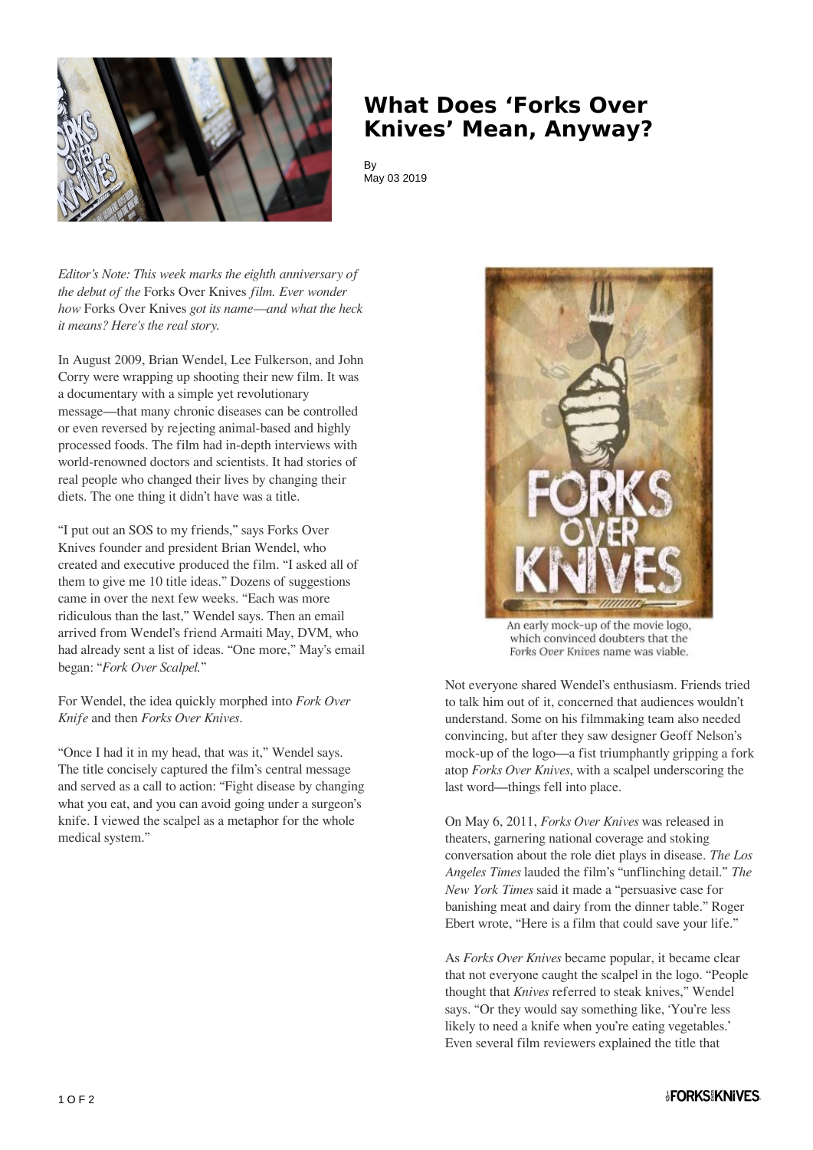

## **What Does 'Forks Over Knives' Mean, Anyway?**

**By** May 03 2019

*Editor's Note: This week marks the eighth anniversary of the debut of the* Forks Over Knives *film. Ever wonder how* Forks Over Knives *got its name—and what the heck it means? Here's the real story.*

In August 2009, Brian Wendel, Lee Fulkerson, and John Corry were wrapping up shooting their new film. It was a documentary with a simple yet revolutionary message—that many chronic diseases can be controlled or even reversed by rejecting animal-based and highly processed foods. The film had in-depth interviews with world-renowned doctors and scientists. It had stories of real people who changed their lives by changing their diets. The one thing it didn't have was a title.

"I put out an SOS to my friends," says Forks Over Knives founder and president Brian Wendel, who created and executive produced the film. "I asked all of them to give me 10 title ideas." Dozens of suggestions came in over the next few weeks. "Each was more ridiculous than the last," Wendel says. Then an email arrived from Wendel's friend Armaiti May, DVM, who had already sent a list of ideas. "One more," May's email began: "*Fork Over Scalpel.*"

For Wendel, the idea quickly morphed into *Fork Over Knife* and then *Forks Over Knives*.

"Once I had it in my head, that was it," Wendel says. The title concisely captured the film's central message and served as a call to action: "Fight disease by changing what you eat, and you can avoid going under a surgeon's knife. I viewed the scalpel as a metaphor for the whole medical system."



An early mock-up of the movie logo. which convinced doubters that the Forks Over Knives name was viable.

Not everyone shared Wendel's enthusiasm. Friends tried to talk him out of it, concerned that audiences wouldn't understand. Some on his filmmaking team also needed convincing, but after they saw designer Geoff Nelson's mock-up of the logo—a fist triumphantly gripping a fork atop *Forks Over Knives*, with a scalpel underscoring the last word—things fell into place.

On May 6, 2011, *Forks Over Knives* was released in theaters, garnering national coverage and stoking conversation about the role diet plays in disease. *The Los Angeles Times* lauded the film's "unflinching detail." *The New York Times* said it made a "persuasive case for banishing meat and dairy from the dinner table." Roger Ebert wrote, "Here is a film that could save your life."

As *Forks Over Knives* became popular, it became clear that not everyone caught the scalpel in the logo. "People thought that *Knives* referred to steak knives," Wendel says. "Or they would say something like, 'You're less likely to need a knife when you're eating vegetables.' Even several film reviewers explained the title that